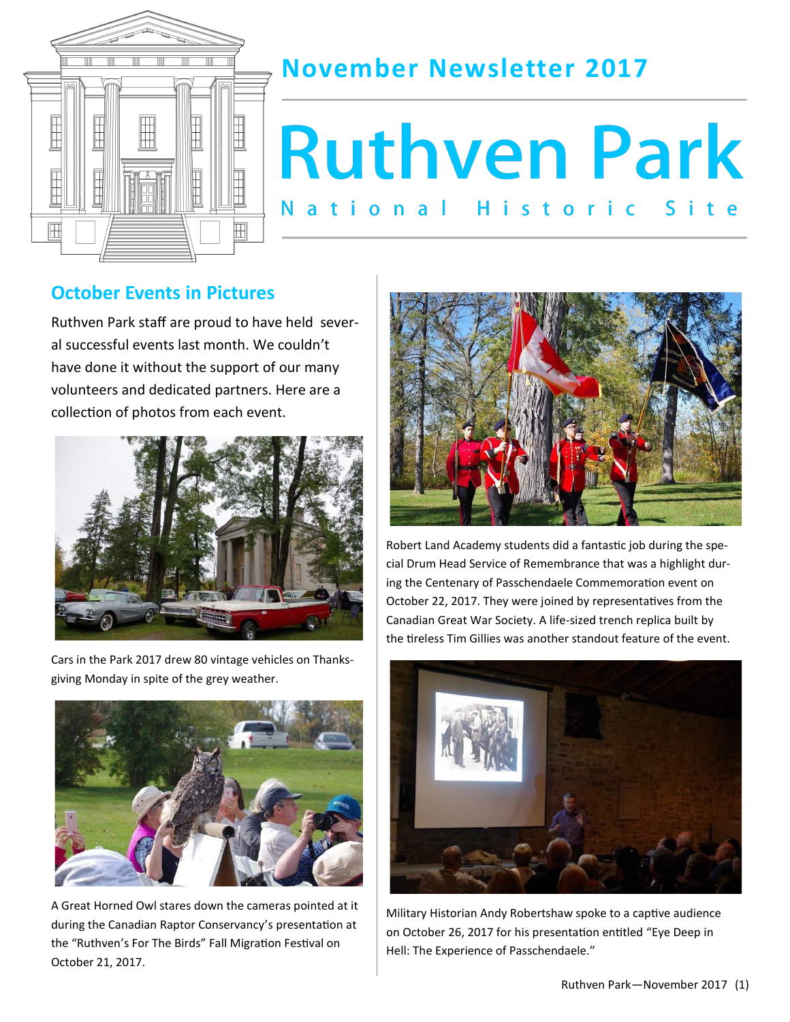

## **November Newsletter 2017**

# **Ruthven Park** ational Historic

### **October Events in Pictures**

Ruthven Park staff are proud to have held several successful events last month. We couldn't have done it without the support of our many volunteers and dedicated partners. Here are a collection of photos from each event.



Cars in the Park 2017 drew 80 vintage vehicles on Thanksgiving Monday in spite of the grey weather.



A Great Horned Owl stares down the cameras pointed at it during the Canadian Raptor Conservancy's presentation at the "Ruthven's For The Birds" Fall Migration Festival on October 21, 2017.



Robert Land Academy students did a fantastic job during the special Drum Head Service of Remembrance that was a highlight during the Centenary of Passchendaele Commemoration event on October 22, 2017. They were joined by representatives from the Canadian Great War Society. A life-sized trench replica built by the tireless Tim Gillies was another standout feature of the event.



Military Historian Andy Robertshaw spoke to a captive audience on October 26, 2017 for his presentation entitled "Eye Deep in Hell: The Experience of Passchendaele."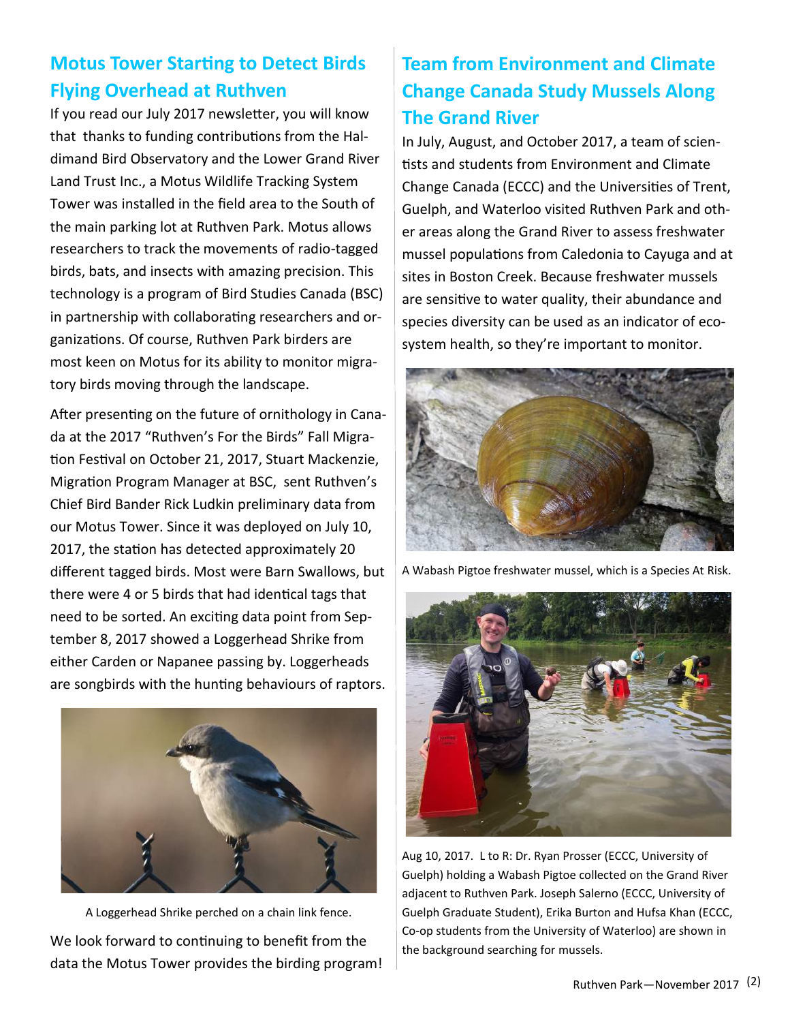## **Motus Tower Starting to Detect Birds Flying Overhead at Ruthven**

If you read our July 2017 newsletter, you will know that thanks to funding contributions from the Haldimand Bird Observatory and the Lower Grand River Land Trust Inc., a Motus Wildlife Tracking System Tower was installed in the field area to the South of the main parking lot at Ruthven Park. Motus allows researchers to track the movements of radio-tagged birds, bats, and insects with amazing precision. This technology is a program of Bird Studies Canada (BSC) in partnership with collaborating researchers and organizations. Of course, Ruthven Park birders are most keen on Motus for its ability to monitor migratory birds moving through the landscape.

After presenting on the future of ornithology in Canada at the 2017 "Ruthven's For the Birds" Fall Migration Festival on October 21, 2017, Stuart Mackenzie, Migration Program Manager at BSC, sent Ruthven's Chief Bird Bander Rick Ludkin preliminary data from our Motus Tower. Since it was deployed on July 10, 2017, the station has detected approximately 20 different tagged birds. Most were Barn Swallows, but there were 4 or 5 birds that had identical tags that need to be sorted. An exciting data point from September 8, 2017 showed a Loggerhead Shrike from either Carden or Napanee passing by. Loggerheads are songbirds with the hunting behaviours of raptors.



A Loggerhead Shrike perched on a chain link fence. We look forward to continuing to benefit from the data the Motus Tower provides the birding program!

## **Team from Environment and Climate Change Canada Study Mussels Along The Grand River**

In July, August, and October 2017, a team of scientists and students from Environment and Climate Change Canada (ECCC) and the Universities of Trent, Guelph, and Waterloo visited Ruthven Park and other areas along the Grand River to assess freshwater mussel populations from Caledonia to Cayuga and at sites in Boston Creek. Because freshwater mussels are sensitive to water quality, their abundance and species diversity can be used as an indicator of ecosystem health, so they're important to monitor.



A Wabash Pigtoe freshwater mussel, which is a Species At Risk.



Aug 10, 2017. L to R: Dr. Ryan Prosser (ECCC, University of Guelph) holding a Wabash Pigtoe collected on the Grand River adjacent to Ruthven Park. Joseph Salerno (ECCC, University of Guelph Graduate Student), Erika Burton and Hufsa Khan (ECCC, Co-op students from the University of Waterloo) are shown in the background searching for mussels.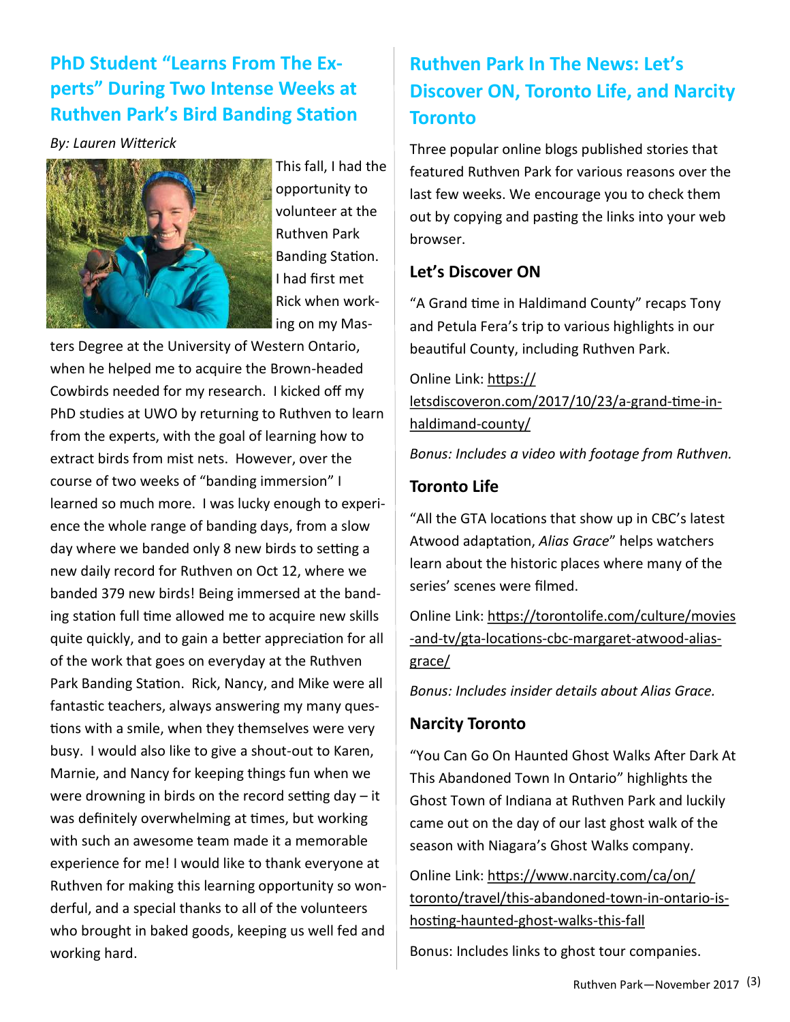## **PhD Student "Learns From The Experts" During Two Intense Weeks at Ruthven Park's Bird Banding Station**

#### *By: Lauren Witterick*



This fall, I had the opportunity to volunteer at the Ruthven Park Banding Station. I had first met Rick when working on my Mas-

ters Degree at the University of Western Ontario, when he helped me to acquire the Brown-headed Cowbirds needed for my research. I kicked off my PhD studies at UWO by returning to Ruthven to learn from the experts, with the goal of learning how to extract birds from mist nets. However, over the course of two weeks of "banding immersion" I learned so much more. I was lucky enough to experience the whole range of banding days, from a slow day where we banded only 8 new birds to setting a new daily record for Ruthven on Oct 12, where we banded 379 new birds! Being immersed at the banding station full time allowed me to acquire new skills quite quickly, and to gain a better appreciation for all of the work that goes on everyday at the Ruthven Park Banding Station. Rick, Nancy, and Mike were all fantastic teachers, always answering my many questions with a smile, when they themselves were very busy. I would also like to give a shout-out to Karen, Marnie, and Nancy for keeping things fun when we were drowning in birds on the record setting day – it was definitely overwhelming at times, but working with such an awesome team made it a memorable experience for me! I would like to thank everyone at Ruthven for making this learning opportunity so wonderful, and a special thanks to all of the volunteers who brought in baked goods, keeping us well fed and working hard.

## **Ruthven Park In The News: Let's Discover ON, Toronto Life, and Narcity Toronto**

Three popular online blogs published stories that featured Ruthven Park for various reasons over the last few weeks. We encourage you to check them out by copying and pasting the links into your web browser.

#### **Let's Discover ON**

"A Grand time in Haldimand County" recaps Tony and Petula Fera's trip to various highlights in our beautiful County, including Ruthven Park.

Online Link: https:// letsdiscoveron.com/2017/10/23/a-grand-time-inhaldimand-county/

*Bonus: Includes a video with footage from Ruthven.*

#### **Toronto Life**

"All the GTA locations that show up in CBC's latest Atwood adaptation, *Alias Grace*" helps watchers learn about the historic places where many of the series' scenes were filmed.

Online Link: https://torontolife.com/culture/movies -and-tv/gta-locations-cbc-margaret-atwood-aliasgrace/

*Bonus: Includes insider details about Alias Grace.*

#### **Narcity Toronto**

"You Can Go On Haunted Ghost Walks After Dark At This Abandoned Town In Ontario" highlights the Ghost Town of Indiana at Ruthven Park and luckily came out on the day of our last ghost walk of the season with Niagara's Ghost Walks company.

Online Link: https://www.narcity.com/ca/on/ toronto/travel/this-abandoned-town-in-ontario-ishosting-haunted-ghost-walks-this-fall

Bonus: Includes links to ghost tour companies.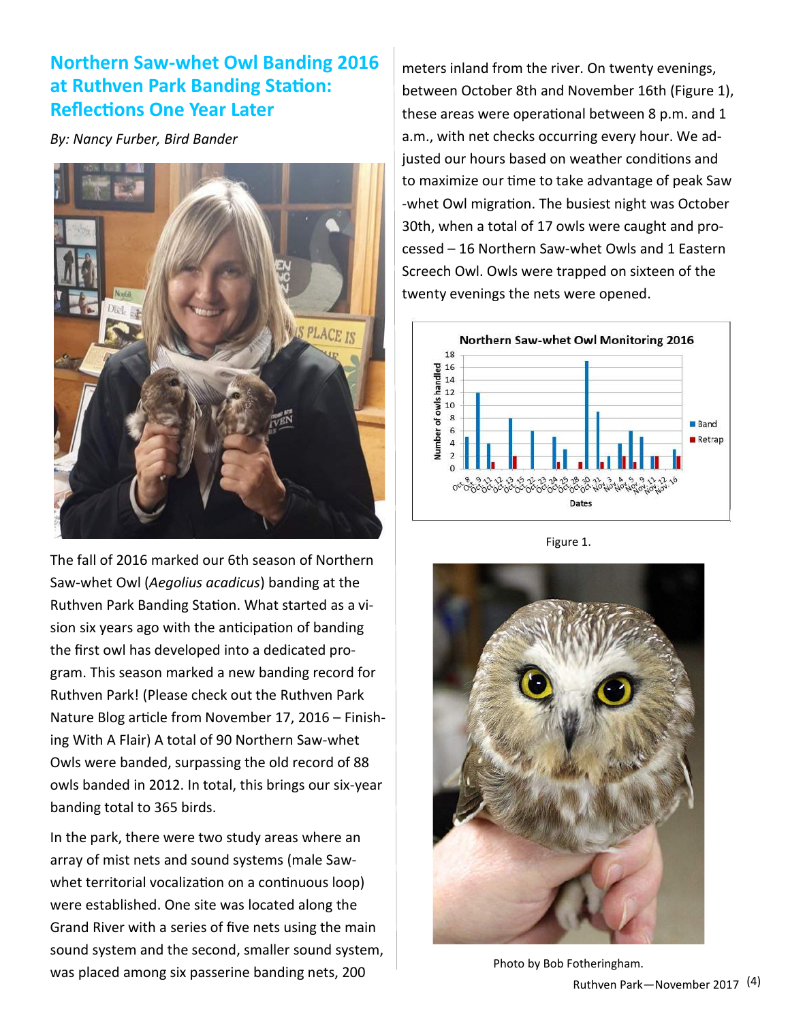## **Northern Saw-whet Owl Banding 2016 at Ruthven Park Banding Station: Reflections One Year Later**

*By: Nancy Furber, Bird Bander*



The fall of 2016 marked our 6th season of Northern Saw-whet Owl (*Aegolius acadicus*) banding at the Ruthven Park Banding Station. What started as a vision six years ago with the anticipation of banding the first owl has developed into a dedicated program. This season marked a new banding record for Ruthven Park! (Please check out the Ruthven Park Nature Blog article from November 17, 2016 – Finishing With A Flair) A total of 90 Northern Saw-whet Owls were banded, surpassing the old record of 88 owls banded in 2012. In total, this brings our six-year banding total to 365 birds.

In the park, there were two study areas where an array of mist nets and sound systems (male Sawwhet territorial vocalization on a continuous loop) were established. One site was located along the Grand River with a series of five nets using the main sound system and the second, smaller sound system, was placed among six passerine banding nets, 200

meters inland from the river. On twenty evenings, between October 8th and November 16th (Figure 1), these areas were operational between 8 p.m. and 1 a.m., with net checks occurring every hour. We adjusted our hours based on weather conditions and to maximize our time to take advantage of peak Saw -whet Owl migration. The busiest night was October 30th, when a total of 17 owls were caught and processed – 16 Northern Saw-whet Owls and 1 Eastern Screech Owl. Owls were trapped on sixteen of the twenty evenings the nets were opened.



Figure 1.



Photo by Bob Fotheringham.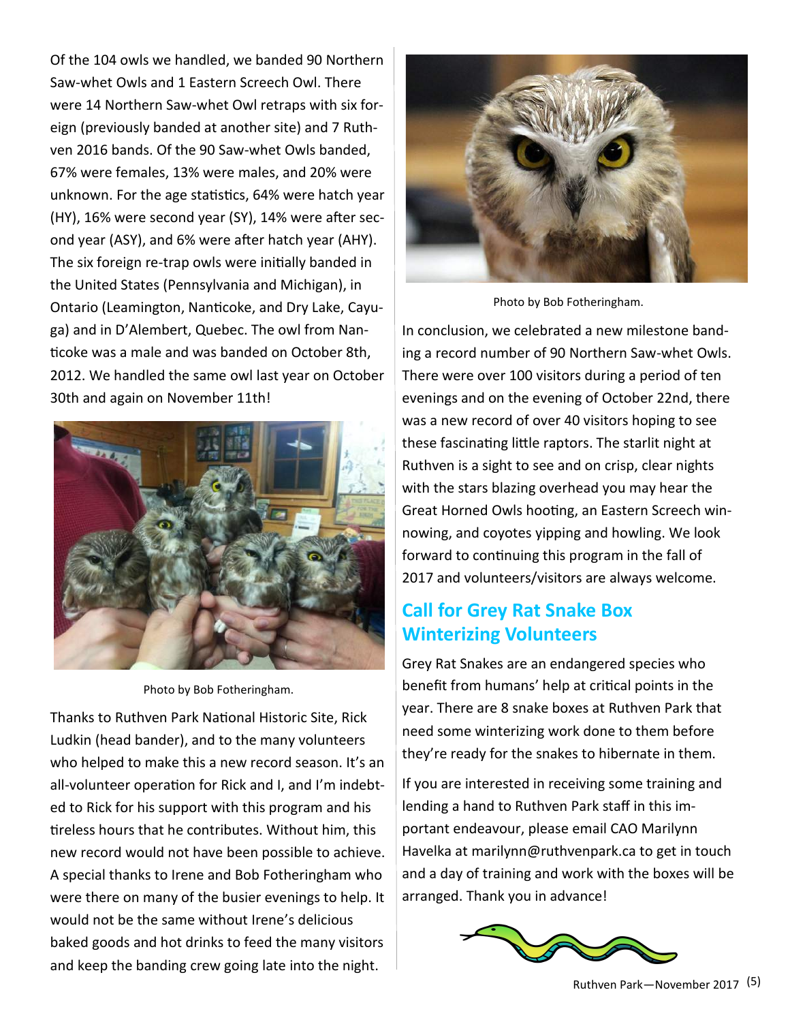Of the 104 owls we handled, we banded 90 Northern Saw-whet Owls and 1 Eastern Screech Owl. There were 14 Northern Saw-whet Owl retraps with six foreign (previously banded at another site) and 7 Ruthven 2016 bands. Of the 90 Saw-whet Owls banded, 67% were females, 13% were males, and 20% were unknown. For the age statistics, 64% were hatch year (HY), 16% were second year (SY), 14% were after second year (ASY), and 6% were after hatch year (AHY). The six foreign re-trap owls were initially banded in the United States (Pennsylvania and Michigan), in Ontario (Leamington, Nanticoke, and Dry Lake, Cayuga) and in D'Alembert, Quebec. The owl from Nanticoke was a male and was banded on October 8th, 2012. We handled the same owl last year on October 30th and again on November 11th!



Photo by Bob Fotheringham.

Thanks to Ruthven Park National Historic Site, Rick Ludkin (head bander), and to the many volunteers who helped to make this a new record season. It's an all-volunteer operation for Rick and I, and I'm indebted to Rick for his support with this program and his tireless hours that he contributes. Without him, this new record would not have been possible to achieve. A special thanks to Irene and Bob Fotheringham who were there on many of the busier evenings to help. It would not be the same without Irene's delicious baked goods and hot drinks to feed the many visitors and keep the banding crew going late into the night.



Photo by Bob Fotheringham.

In conclusion, we celebrated a new milestone banding a record number of 90 Northern Saw-whet Owls. There were over 100 visitors during a period of ten evenings and on the evening of October 22nd, there was a new record of over 40 visitors hoping to see these fascinating little raptors. The starlit night at Ruthven is a sight to see and on crisp, clear nights with the stars blazing overhead you may hear the Great Horned Owls hooting, an Eastern Screech winnowing, and coyotes yipping and howling. We look forward to continuing this program in the fall of 2017 and volunteers/visitors are always welcome.

## **Call for Grey Rat Snake Box Winterizing Volunteers**

Grey Rat Snakes are an endangered species who benefit from humans' help at critical points in the year. There are 8 snake boxes at Ruthven Park that need some winterizing work done to them before they're ready for the snakes to hibernate in them.

If you are interested in receiving some training and lending a hand to Ruthven Park staff in this important endeavour, please email CAO Marilynn Havelka at marilynn@ruthvenpark.ca to get in touch and a day of training and work with the boxes will be arranged. Thank you in advance!